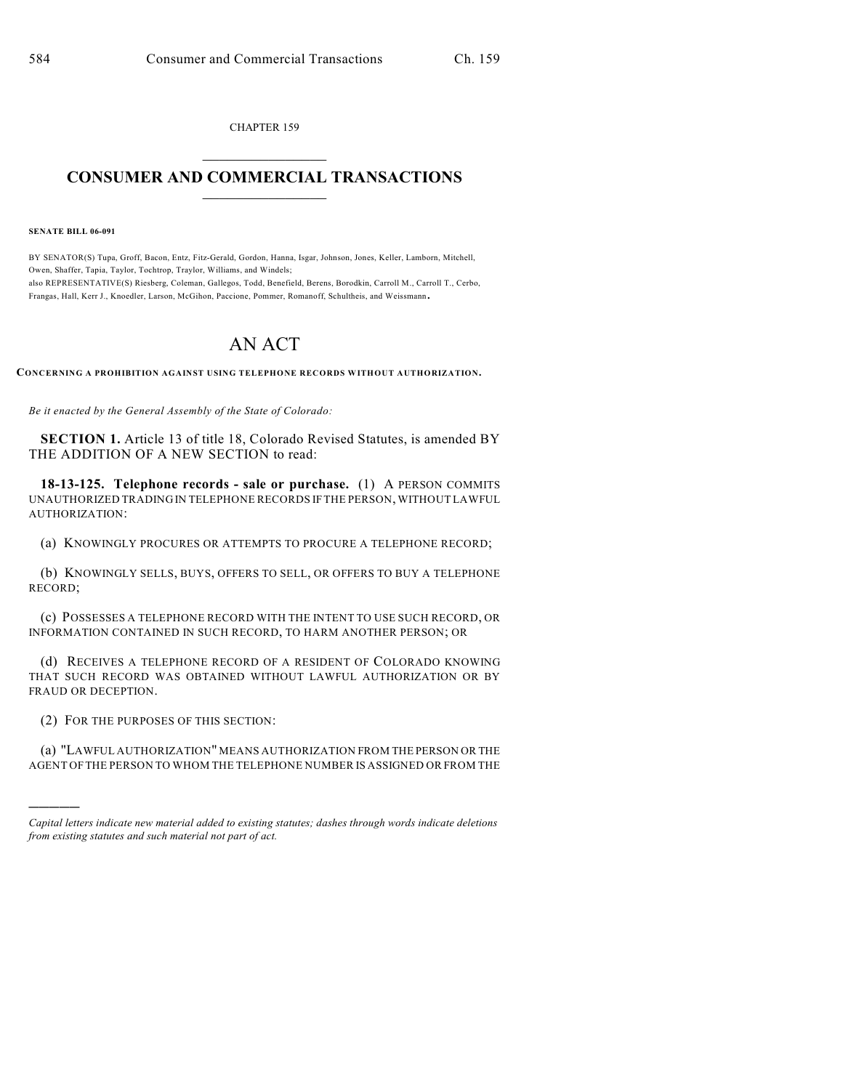CHAPTER 159  $\overline{\phantom{a}}$  . The set of the set of the set of the set of the set of the set of the set of the set of the set of the set of the set of the set of the set of the set of the set of the set of the set of the set of the set o

## **CONSUMER AND COMMERCIAL TRANSACTIONS**  $\frac{1}{2}$  ,  $\frac{1}{2}$  ,  $\frac{1}{2}$  ,  $\frac{1}{2}$  ,  $\frac{1}{2}$  ,  $\frac{1}{2}$

**SENATE BILL 06-091**

BY SENATOR(S) Tupa, Groff, Bacon, Entz, Fitz-Gerald, Gordon, Hanna, Isgar, Johnson, Jones, Keller, Lamborn, Mitchell, Owen, Shaffer, Tapia, Taylor, Tochtrop, Traylor, Williams, and Windels; also REPRESENTATIVE(S) Riesberg, Coleman, Gallegos, Todd, Benefield, Berens, Borodkin, Carroll M., Carroll T., Cerbo, Frangas, Hall, Kerr J., Knoedler, Larson, McGihon, Paccione, Pommer, Romanoff, Schultheis, and Weissmann.

## AN ACT

**CONCERNING A PROHIBITION AGAINST USING TELEPHONE RECORDS WITHOUT AUTHORIZATION.**

*Be it enacted by the General Assembly of the State of Colorado:*

**SECTION 1.** Article 13 of title 18, Colorado Revised Statutes, is amended BY THE ADDITION OF A NEW SECTION to read:

**18-13-125. Telephone records - sale or purchase.** (1) A PERSON COMMITS UNAUTHORIZED TRADING IN TELEPHONE RECORDS IF THE PERSON, WITHOUT LAWFUL AUTHORIZATION:

(a) KNOWINGLY PROCURES OR ATTEMPTS TO PROCURE A TELEPHONE RECORD;

(b) KNOWINGLY SELLS, BUYS, OFFERS TO SELL, OR OFFERS TO BUY A TELEPHONE RECORD;

(c) POSSESSES A TELEPHONE RECORD WITH THE INTENT TO USE SUCH RECORD, OR INFORMATION CONTAINED IN SUCH RECORD, TO HARM ANOTHER PERSON; OR

(d) RECEIVES A TELEPHONE RECORD OF A RESIDENT OF COLORADO KNOWING THAT SUCH RECORD WAS OBTAINED WITHOUT LAWFUL AUTHORIZATION OR BY FRAUD OR DECEPTION.

(2) FOR THE PURPOSES OF THIS SECTION:

)))))

(a) "LAWFUL AUTHORIZATION" MEANS AUTHORIZATION FROM THE PERSON OR THE AGENT OF THE PERSON TO WHOM THE TELEPHONE NUMBER IS ASSIGNED OR FROM THE

*Capital letters indicate new material added to existing statutes; dashes through words indicate deletions from existing statutes and such material not part of act.*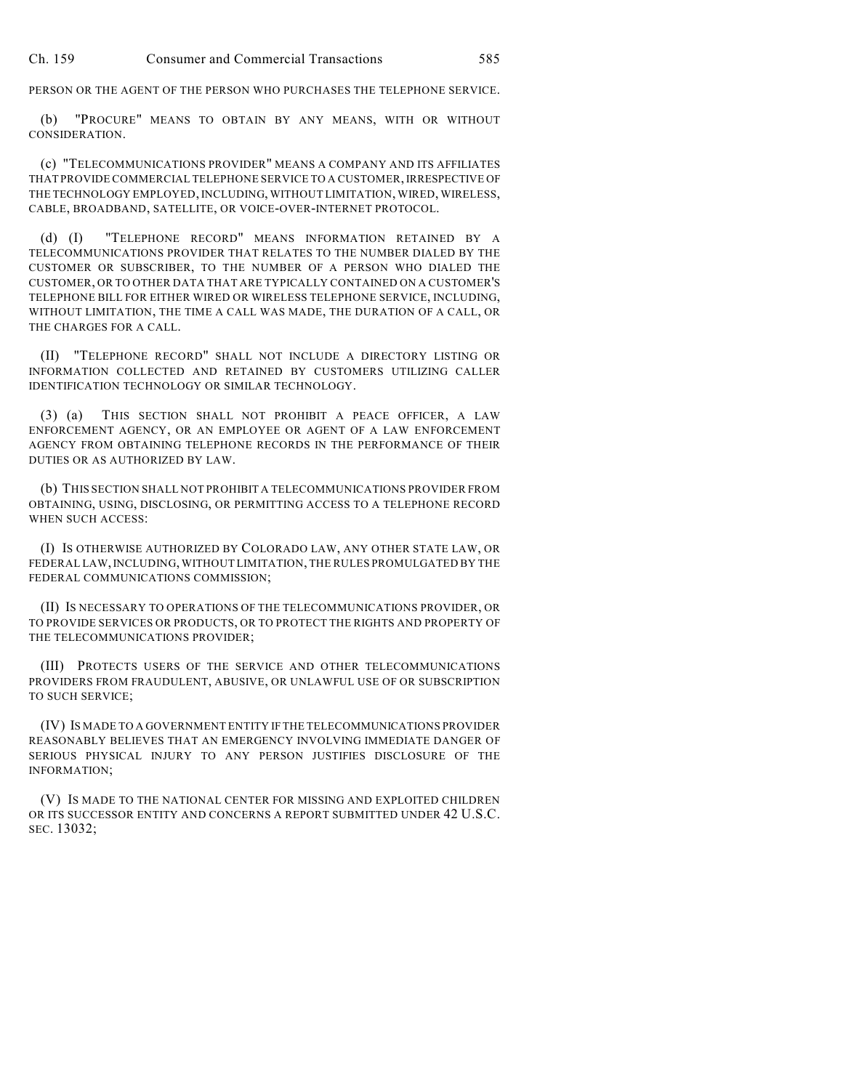PERSON OR THE AGENT OF THE PERSON WHO PURCHASES THE TELEPHONE SERVICE.

(b) "PROCURE" MEANS TO OBTAIN BY ANY MEANS, WITH OR WITHOUT CONSIDERATION.

(c) "TELECOMMUNICATIONS PROVIDER" MEANS A COMPANY AND ITS AFFILIATES THAT PROVIDE COMMERCIAL TELEPHONE SERVICE TO A CUSTOMER, IRRESPECTIVE OF THE TECHNOLOGY EMPLOYED, INCLUDING, WITHOUT LIMITATION, WIRED, WIRELESS, CABLE, BROADBAND, SATELLITE, OR VOICE-OVER-INTERNET PROTOCOL.

(d) (I) "TELEPHONE RECORD" MEANS INFORMATION RETAINED BY A TELECOMMUNICATIONS PROVIDER THAT RELATES TO THE NUMBER DIALED BY THE CUSTOMER OR SUBSCRIBER, TO THE NUMBER OF A PERSON WHO DIALED THE CUSTOMER, OR TO OTHER DATA THAT ARE TYPICALLY CONTAINED ON A CUSTOMER'S TELEPHONE BILL FOR EITHER WIRED OR WIRELESS TELEPHONE SERVICE, INCLUDING, WITHOUT LIMITATION, THE TIME A CALL WAS MADE, THE DURATION OF A CALL, OR THE CHARGES FOR A CALL.

(II) "TELEPHONE RECORD" SHALL NOT INCLUDE A DIRECTORY LISTING OR INFORMATION COLLECTED AND RETAINED BY CUSTOMERS UTILIZING CALLER IDENTIFICATION TECHNOLOGY OR SIMILAR TECHNOLOGY.

(3) (a) THIS SECTION SHALL NOT PROHIBIT A PEACE OFFICER, A LAW ENFORCEMENT AGENCY, OR AN EMPLOYEE OR AGENT OF A LAW ENFORCEMENT AGENCY FROM OBTAINING TELEPHONE RECORDS IN THE PERFORMANCE OF THEIR DUTIES OR AS AUTHORIZED BY LAW.

(b) THIS SECTION SHALL NOT PROHIBIT A TELECOMMUNICATIONS PROVIDER FROM OBTAINING, USING, DISCLOSING, OR PERMITTING ACCESS TO A TELEPHONE RECORD WHEN SUCH ACCESS:

(I) IS OTHERWISE AUTHORIZED BY COLORADO LAW, ANY OTHER STATE LAW, OR FEDERAL LAW, INCLUDING, WITHOUT LIMITATION, THE RULES PROMULGATED BY THE FEDERAL COMMUNICATIONS COMMISSION;

(II) IS NECESSARY TO OPERATIONS OF THE TELECOMMUNICATIONS PROVIDER, OR TO PROVIDE SERVICES OR PRODUCTS, OR TO PROTECT THE RIGHTS AND PROPERTY OF THE TELECOMMUNICATIONS PROVIDER;

(III) PROTECTS USERS OF THE SERVICE AND OTHER TELECOMMUNICATIONS PROVIDERS FROM FRAUDULENT, ABUSIVE, OR UNLAWFUL USE OF OR SUBSCRIPTION TO SUCH SERVICE;

(IV) IS MADE TO A GOVERNMENT ENTITY IF THE TELECOMMUNICATIONS PROVIDER REASONABLY BELIEVES THAT AN EMERGENCY INVOLVING IMMEDIATE DANGER OF SERIOUS PHYSICAL INJURY TO ANY PERSON JUSTIFIES DISCLOSURE OF THE INFORMATION;

(V) IS MADE TO THE NATIONAL CENTER FOR MISSING AND EXPLOITED CHILDREN OR ITS SUCCESSOR ENTITY AND CONCERNS A REPORT SUBMITTED UNDER 42 U.S.C. SEC. 13032;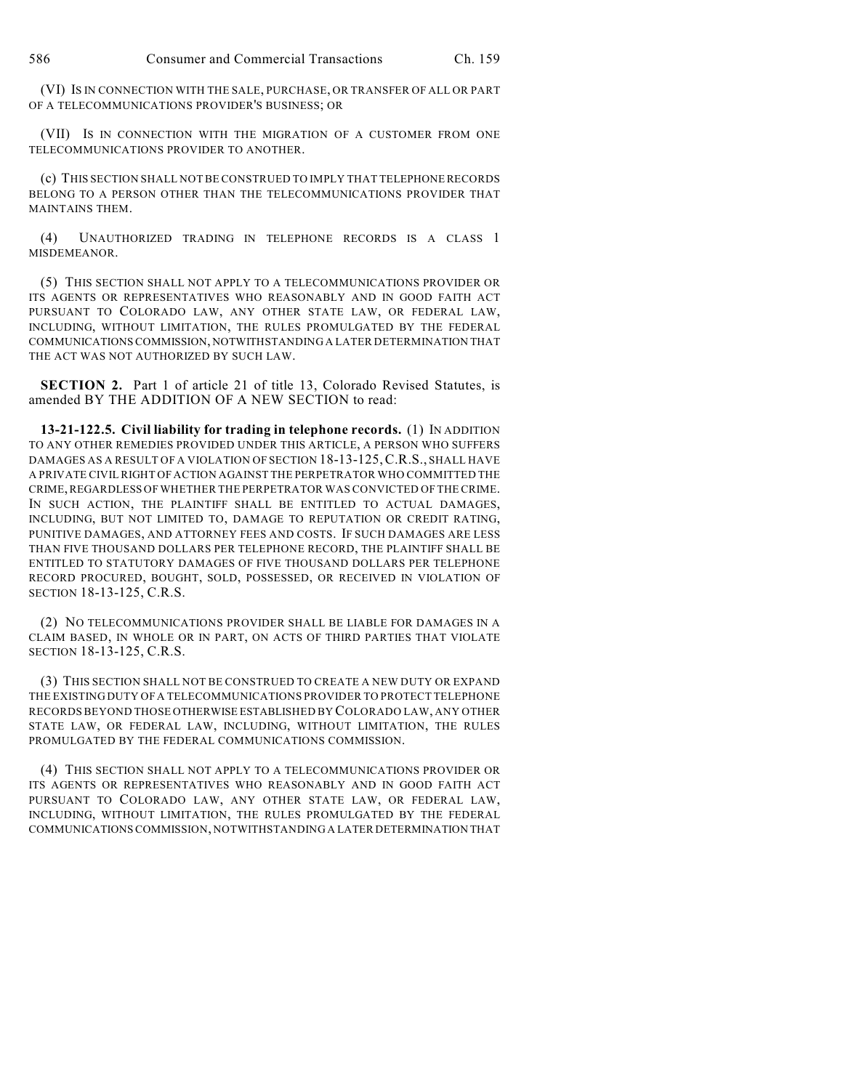(VI) IS IN CONNECTION WITH THE SALE, PURCHASE, OR TRANSFER OF ALL OR PART OF A TELECOMMUNICATIONS PROVIDER'S BUSINESS; OR

(VII) IS IN CONNECTION WITH THE MIGRATION OF A CUSTOMER FROM ONE TELECOMMUNICATIONS PROVIDER TO ANOTHER.

(c) THIS SECTION SHALL NOT BE CONSTRUED TO IMPLY THAT TELEPHONE RECORDS BELONG TO A PERSON OTHER THAN THE TELECOMMUNICATIONS PROVIDER THAT MAINTAINS THEM.

(4) UNAUTHORIZED TRADING IN TELEPHONE RECORDS IS A CLASS 1 MISDEMEANOR.

(5) THIS SECTION SHALL NOT APPLY TO A TELECOMMUNICATIONS PROVIDER OR ITS AGENTS OR REPRESENTATIVES WHO REASONABLY AND IN GOOD FAITH ACT PURSUANT TO COLORADO LAW, ANY OTHER STATE LAW, OR FEDERAL LAW, INCLUDING, WITHOUT LIMITATION, THE RULES PROMULGATED BY THE FEDERAL COMMUNICATIONS COMMISSION, NOTWITHSTANDING A LATER DETERMINATION THAT THE ACT WAS NOT AUTHORIZED BY SUCH LAW.

**SECTION 2.** Part 1 of article 21 of title 13, Colorado Revised Statutes, is amended BY THE ADDITION OF A NEW SECTION to read:

**13-21-122.5. Civil liability for trading in telephone records.** (1) IN ADDITION TO ANY OTHER REMEDIES PROVIDED UNDER THIS ARTICLE, A PERSON WHO SUFFERS DAMAGES AS A RESULT OF A VIOLATION OF SECTION 18-13-125,C.R.S., SHALL HAVE A PRIVATE CIVIL RIGHT OF ACTION AGAINST THE PERPETRATOR WHO COMMITTED THE CRIME, REGARDLESS OF WHETHER THE PERPETRATOR WAS CONVICTED OF THE CRIME. IN SUCH ACTION, THE PLAINTIFF SHALL BE ENTITLED TO ACTUAL DAMAGES, INCLUDING, BUT NOT LIMITED TO, DAMAGE TO REPUTATION OR CREDIT RATING, PUNITIVE DAMAGES, AND ATTORNEY FEES AND COSTS. IF SUCH DAMAGES ARE LESS THAN FIVE THOUSAND DOLLARS PER TELEPHONE RECORD, THE PLAINTIFF SHALL BE ENTITLED TO STATUTORY DAMAGES OF FIVE THOUSAND DOLLARS PER TELEPHONE RECORD PROCURED, BOUGHT, SOLD, POSSESSED, OR RECEIVED IN VIOLATION OF SECTION 18-13-125, C.R.S.

(2) NO TELECOMMUNICATIONS PROVIDER SHALL BE LIABLE FOR DAMAGES IN A CLAIM BASED, IN WHOLE OR IN PART, ON ACTS OF THIRD PARTIES THAT VIOLATE SECTION 18-13-125, C.R.S.

(3) THIS SECTION SHALL NOT BE CONSTRUED TO CREATE A NEW DUTY OR EXPAND THE EXISTING DUTY OF A TELECOMMUNICATIONS PROVIDER TO PROTECT TELEPHONE RECORDS BEYOND THOSE OTHERWISE ESTABLISHED BY COLORADO LAW, ANY OTHER STATE LAW, OR FEDERAL LAW, INCLUDING, WITHOUT LIMITATION, THE RULES PROMULGATED BY THE FEDERAL COMMUNICATIONS COMMISSION.

(4) THIS SECTION SHALL NOT APPLY TO A TELECOMMUNICATIONS PROVIDER OR ITS AGENTS OR REPRESENTATIVES WHO REASONABLY AND IN GOOD FAITH ACT PURSUANT TO COLORADO LAW, ANY OTHER STATE LAW, OR FEDERAL LAW, INCLUDING, WITHOUT LIMITATION, THE RULES PROMULGATED BY THE FEDERAL COMMUNICATIONS COMMISSION, NOTWITHSTANDING A LATER DETERMINATION THAT